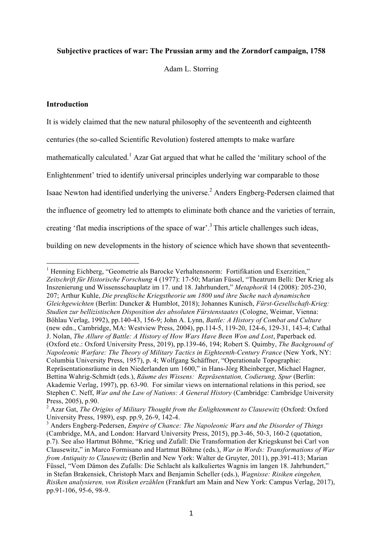### **Subjective practices of war: The Prussian army and the Zorndorf campaign, 1758**

Adam L. Storring

# **Introduction**

It is widely claimed that the new natural philosophy of the seventeenth and eighteenth centuries (the so-called Scientific Revolution) fostered attempts to make warfare mathematically calculated.<sup>1</sup> Azar Gat argued that what he called the 'military school of the Enlightenment' tried to identify universal principles underlying war comparable to those Isaac Newton had identified underlying the universe.2 Anders Engberg-Pedersen claimed that the influence of geometry led to attempts to eliminate both chance and the varieties of terrain, creating 'flat media inscriptions of the space of war'.3 This article challenges such ideas, building on new developments in the history of science which have shown that seventeenth-

<sup>&</sup>lt;sup>1</sup> Henning Eichberg, "Geometrie als Barocke Verhaltensnorm: Fortifikation und Exerzitien," *Zeitschrift für Historische Forschung* 4 (1977): 17-50; Marian Füssel, "Theatrum Belli: Der Krieg als Inszenierung und Wissensschauplatz im 17. und 18. Jahrhundert," *Metaphorik* 14 (2008): 205-230, 207; Arthur Kuhle, *Die preußische Kriegstheorie um 1800 und ihre Suche nach dynamischen Gleichgewichten* (Berlin: Duncker & Humblot, 2018); Johannes Kunisch, *Fürst-Gesellschaft-Krieg: Studien zur bellizistischen Disposition des absoluten Fürstenstaates* (Cologne, Weimar, Vienna: Böhlau Verlag, 1992), pp.140-43, 156-9; John A. Lynn, *Battle: A History of Combat and Culture*  (new edn., Cambridge, MA: Westview Press, 2004), pp.114-5, 119-20, 124-6, 129-31, 143-4; Cathal J. Nolan, *The Allure of Battle: A History of How Wars Have Been Won and Lost*, Paperback ed. (Oxford etc.: Oxford University Press, 2019), pp.139-46, 194; Robert S. Quimby, *The Background of Napoleonic Warfare: The Theory of Military Tactics in Eighteenth-Century France* (New York, NY: Columbia University Press, 1957), p. 4; Wolfgang Schäffner, "Operationale Topographie: Repräsentationsräume in den Niederlanden um 1600," in Hans-Jörg Rheinberger, Michael Hagner, Bettina Wahrig-Schmidt (eds.), *Räume des Wissens: Repräsentation, Codierung, Spur* (Berlin: Akademie Verlag, 1997), pp. 63-90. For similar views on international relations in this period, see Stephen C. Neff, *War and the Law of Nations: A General History* (Cambridge: Cambridge University Press, 2005), p.90.

<sup>&</sup>lt;sup>2</sup> Azar Gat, *The Origins of Military Thought from the Enlightenment to Clausewitz* (Oxford: Oxford University Press, 1989), esp. pp.9, 26-9, 142-4.

<sup>3</sup> Anders Engberg-Pedersen, *Empire of Chance: The Napoleonic Wars and the Disorder of Things* (Cambridge, MA, and London: Harvard University Press, 2015), pp.3-46, 50-3, 160-2 (quotation, p.7). See also Hartmut Böhme, "Krieg und Zufall: Die Transformation der Kriegskunst bei Carl von Clausewitz," in Marco Formisano and Hartmut Böhme (eds.), *War in Words: Transformations of War from Antiquity to Clausewitz* (Berlin and New York: Walter de Gruyter, 2011), pp.391-413; Marian Füssel, "Vom Dämon des Zufalls: Die Schlacht als kalkuliertes Wagnis im langen 18. Jahrhundert," in Stefan Brakensiek, Christoph Marx and Benjamin Scheller (eds.), *Wagnisse: Risiken eingehen, Risiken analysieren, von Risiken erzählen* (Frankfurt am Main and New York: Campus Verlag, 2017), pp.91-106, 95-6, 98-9.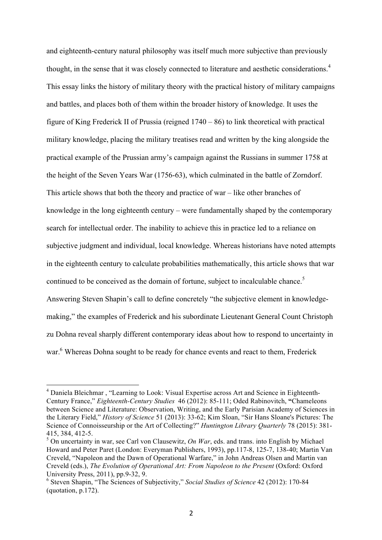and eighteenth-century natural philosophy was itself much more subjective than previously thought, in the sense that it was closely connected to literature and aesthetic considerations.<sup>4</sup> This essay links the history of military theory with the practical history of military campaigns and battles, and places both of them within the broader history of knowledge. It uses the figure of King Frederick II of Prussia (reigned 1740 – 86) to link theoretical with practical military knowledge, placing the military treatises read and written by the king alongside the practical example of the Prussian army's campaign against the Russians in summer 1758 at the height of the Seven Years War (1756-63), which culminated in the battle of Zorndorf. This article shows that both the theory and practice of war – like other branches of knowledge in the long eighteenth century – were fundamentally shaped by the contemporary search for intellectual order. The inability to achieve this in practice led to a reliance on subjective judgment and individual, local knowledge. Whereas historians have noted attempts in the eighteenth century to calculate probabilities mathematically, this article shows that war continued to be conceived as the domain of fortune, subject to incalculable chance.<sup>5</sup> Answering Steven Shapin's call to define concretely "the subjective element in knowledgemaking," the examples of Frederick and his subordinate Lieutenant General Count Christoph zu Dohna reveal sharply different contemporary ideas about how to respond to uncertainty in war.<sup>6</sup> Whereas Dohna sought to be ready for chance events and react to them, Frederick

<sup>&</sup>lt;sup>4</sup> Daniela Bleichmar, "Learning to Look: Visual Expertise across Art and Science in Eighteenth-Century France," *Eighteenth-Century Studies* 46 (2012): 85-111; Oded Rabinovitch, **"**Chameleons between Science and Literature: Observation, Writing, and the Early Parisian Academy of Sciences in the Literary Field," *History of Science* 51 (2013): 33-62; Kim Sloan, "Sir Hans Sloane's Pictures: The Science of Connoisseurship or the Art of Collecting?" *Huntington Library Quarterly* 78 (2015): 381- 415, 384, 412-5.

<sup>5</sup> On uncertainty in war, see Carl von Clausewitz, *On War*, eds. and trans. into English by Michael Howard and Peter Paret (London: Everyman Publishers, 1993), pp.117-8, 125-7, 138-40; Martin Van Creveld, "Napoleon and the Dawn of Operational Warfare," in John Andreas Olsen and Martin van Creveld (eds.), *The Evolution of Operational Art: From Napoleon to the Present* (Oxford: Oxford University Press, 2011), pp.9-32, 9.

<sup>6</sup> Steven Shapin, "The Sciences of Subjectivity," *Social Studies of Science* 42 (2012): 170-84 (quotation, p.172).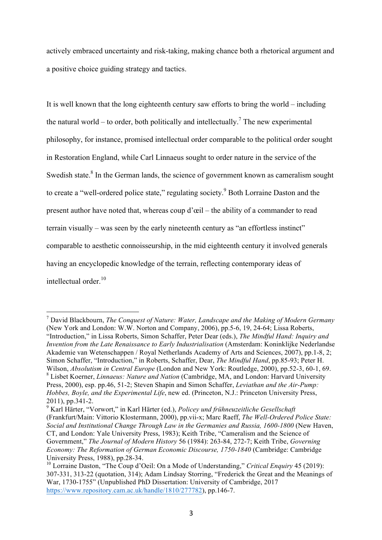actively embraced uncertainty and risk-taking, making chance both a rhetorical argument and a positive choice guiding strategy and tactics.

It is well known that the long eighteenth century saw efforts to bring the world – including the natural world – to order, both politically and intellectually.<sup>7</sup> The new experimental philosophy, for instance, promised intellectual order comparable to the political order sought in Restoration England, while Carl Linnaeus sought to order nature in the service of the Swedish state.<sup>8</sup> In the German lands, the science of government known as cameralism sought to create a "well-ordered police state," regulating society.<sup>9</sup> Both Lorraine Daston and the present author have noted that, whereas coup d'œil – the ability of a commander to read terrain visually – was seen by the early nineteenth century as "an effortless instinct" comparable to aesthetic connoisseurship, in the mid eighteenth century it involved generals having an encyclopedic knowledge of the terrain, reflecting contemporary ideas of intellectual order. 10

 <sup>7</sup> David Blackbourn, *The Conquest of Nature: Water, Landscape and the Making of Modern Germany* (New York and London: W.W. Norton and Company, 2006), pp.5-6, 19, 24-64; Lissa Roberts, "Introduction," in Lissa Roberts, Simon Schaffer, Peter Dear (eds.), *The Mindful Hand: Inquiry and Invention from the Late Renaissance to Early Industrialisation* (Amsterdam: Koninklijke Nederlandse Akademie van Wetenschappen / Royal Netherlands Academy of Arts and Sciences, 2007), pp.1-8, 2; Simon Schaffer, "Introduction," in Roberts, Schaffer, Dear, *The Mindful Hand*, pp.85-93; Peter H. Wilson, *Absolutism in Central Europe* (London and New York: Routledge, 2000), pp.52-3, 60-1, 69. <sup>8</sup> Lisbet Koerner, *Linnaeus: Nature and Nation* (Cambridge, MA, and London: Harvard University Press, 2000), esp. pp.46, 51-2; Steven Shapin and Simon Schaffer, *Leviathan and the Air-Pump: Hobbes, Boyle, and the Experimental Life*, new ed. (Princeton, N.J.: Princeton University Press, 2011), pp.341-2.

<sup>9</sup> Karl Härter, "Vorwort," in Karl Härter (ed.), *Policey und frühneuzeitliche Gesellschaft* (Frankfurt/Main: Vittorio Klostermann, 2000), pp.vii-x; Marc Raeff, *The Well-Ordered Police State: Social and Institutional Change Through Law in the Germanies and Russia, 1600-1800* (New Haven, CT, and London: Yale University Press, 1983); Keith Tribe, "Cameralism and the Science of Government," *The Journal of Modern History* 56 (1984): 263-84, 272-7; Keith Tribe, *Governing Economy: The Reformation of German Economic Discourse, 1750-1840* (Cambridge: Cambridge University Press, 1988), pp.28-34.

<sup>10</sup> Lorraine Daston, "The Coup d'Oeil: On a Mode of Understanding," *Critical Enquiry* 45 (2019): 307-331, 313-22 (quotation, 314); Adam Lindsay Storring, "Frederick the Great and the Meanings of War, 1730-1755" (Unpublished PhD Dissertation: University of Cambridge, 2017 https://www.repository.cam.ac.uk/handle/1810/277782), pp.146-7.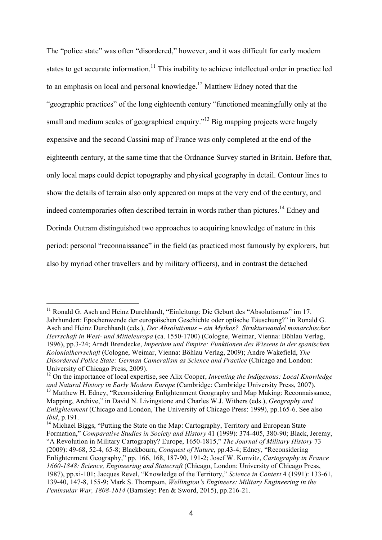The "police state" was often "disordered," however, and it was difficult for early modern states to get accurate information.<sup>11</sup> This inability to achieve intellectual order in practice led to an emphasis on local and personal knowledge. <sup>12</sup> Matthew Edney noted that the "geographic practices" of the long eighteenth century "functioned meaningfully only at the small and medium scales of geographical enquiry.<sup>313</sup> Big mapping projects were hugely expensive and the second Cassini map of France was only completed at the end of the eighteenth century, at the same time that the Ordnance Survey started in Britain. Before that, only local maps could depict topography and physical geography in detail. Contour lines to show the details of terrain also only appeared on maps at the very end of the century, and indeed contemporaries often described terrain in words rather than pictures.<sup>14</sup> Edney and Dorinda Outram distinguished two approaches to acquiring knowledge of nature in this period: personal "reconnaissance" in the field (as practiced most famously by explorers, but also by myriad other travellers and by military officers), and in contrast the detached

<sup>&</sup>lt;sup>11</sup> Ronald G. Asch and Heinz Durchhardt, "Einleitung: Die Geburt des "Absolutismus" im 17. Jahrhundert: Epochenwende der europäischen Geschichte oder optische Täuschung?" in Ronald G. Asch and Heinz Durchhardt (eds.), *Der Absolutismus – ein Mythos? Strukturwandel monarchischer Herrschaft in West- und Mitteleuropa* (ca. 1550-1700) (Cologne, Weimar, Vienna: Böhlau Verlag, 1996), pp.3-24; Arndt Brendecke, *Imperium und Empire: Funktionen des Wissens in der spanischen Kolonialherrschaft* (Cologne, Weimar, Vienna: Böhlau Verlag, 2009); Andre Wakefield, *The Disordered Police State: German Cameralism as Science and Practice* (Chicago and London: University of Chicago Press, 2009).

<sup>12</sup> On the importance of local expertise, see Alix Cooper, *Inventing the Indigenous: Local Knowledge and Natural History in Early Modern Europe* (Cambridge: Cambridge University Press, 2007). <sup>13</sup> Matthew H. Edney, "Reconsidering Enlightenment Geography and Map Making: Reconnaissance, Mapping, Archive," in David N. Livingstone and Charles W.J. Withers (eds.), *Geography and Enlightenment* (Chicago and London, The University of Chicago Press: 1999), pp.165-6. See also *Ibid*, p.191.

<sup>&</sup>lt;sup>14</sup> Michael Biggs, "Putting the State on the Map: Cartography, Territory and European State Formation," *Comparative Studies in Society and History* 41 (1999): 374-405, 380-90; Black, Jeremy, "A Revolution in Military Cartography? Europe, 1650-1815," *The Journal of Military History* 73 (2009): 49-68, 52-4, 65-8; Blackbourn, *Conquest of Nature*, pp.43-4; Edney, "Reconsidering Enlightenment Geography," pp. 166, 168, 187-90, 191-2; Josef W. Konvitz, *Cartography in France 1660-1848: Science, Engineering and Statecraft* (Chicago, London: University of Chicago Press, 1987), pp.xi-101; Jacques Revel, "Knowledge of the Territory," *Science in Context* 4 (1991): 133-61, 139-40, 147-8, 155-9; Mark S. Thompson, *Wellington's Engineers: Military Engineering in the Peninsular War, 1808-1814* (Barnsley: Pen & Sword, 2015), pp.216-21.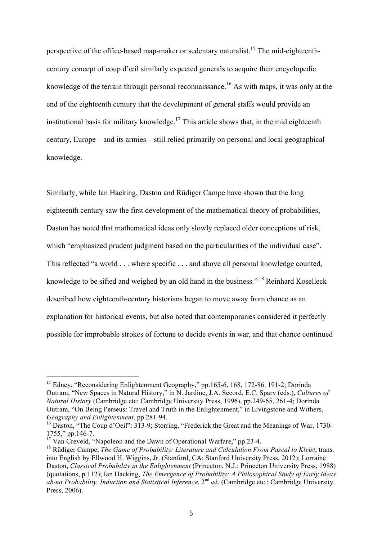perspective of the office-based map-maker or sedentary naturalist.<sup>15</sup> The mid-eighteenthcentury concept of coup d'œil similarly expected generals to acquire their encyclopedic knowledge of the terrain through personal reconnaissance.<sup>16</sup> As with maps, it was only at the end of the eighteenth century that the development of general staffs would provide an institutional basis for military knowledge.<sup>17</sup> This article shows that, in the mid eighteenth century, Europe – and its armies – still relied primarily on personal and local geographical knowledge.

Similarly, while Ian Hacking, Daston and Rüdiger Campe have shown that the long eighteenth century saw the first development of the mathematical theory of probabilities, Daston has noted that mathematical ideas only slowly replaced older conceptions of risk, which "emphasized prudent judgment based on the particularities of the individual case". This reflected "a world . . . where specific . . . and above all personal knowledge counted, knowledge to be sifted and weighed by an old hand in the business." <sup>18</sup> Reinhard Koselleck described how eighteenth-century historians began to move away from chance as an explanation for historical events, but also noted that contemporaries considered it perfectly possible for improbable strokes of fortune to decide events in war, and that chance continued

<sup>&</sup>lt;sup>15</sup> Edney, "Reconsidering Enlightenment Geography," pp.165-6, 168, 172-86, 191-2; Dorinda Outram, "New Spaces in Natural History," in N. Jardine, J.A. Secord, E.C. Spary (eds.), *Cultures of Natural History* (Cambridge etc: Cambridge University Press, 1996), pp.249-65, 261-4; Dorinda Outram, "On Being Perseus: Travel and Truth in the Enlightenment," in Livingstone and Withers, *Geography and Enlightenment*, pp.281-94.

<sup>&</sup>lt;sup>16</sup> Daston, "The Coup d'Oeil": 313-9; Storring, "Frederick the Great and the Meanings of War, 1730-1755," pp.146-7.

<sup>&</sup>lt;sup>17</sup> Van Creveld, "Napoleon and the Dawn of Operational Warfare," pp.23-4.

<sup>&</sup>lt;sup>18</sup> Rüdiger Campe, *The Game of Probability: Literature and Calculation From Pascal to Kleist*, trans. into English by Ellwood H. Wiggins, Jr. (Stanford, CA: Stanford University Press, 2012); Lorraine Daston, *Classical Probability in the Enlightenment* (Princeton, N.J.: Princeton University Press, 1988) (quotations, p.112); Ian Hacking, *The Emergence of Probability: A Philosophical Study of Early Ideas about Probability, Induction and Statistical Inference*, 2<sup>nd</sup> ed. (Cambridge etc.: Cambridge University Press, 2006).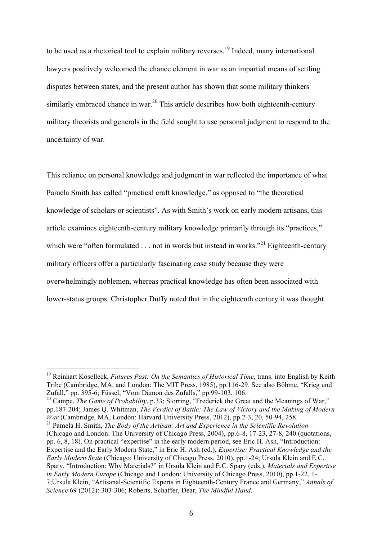to be used as a rhetorical tool to explain military reverses.<sup>19</sup> Indeed, many international lawyers positively welcomed the chance element in war as an impartial means of settling disputes between states, and the present author has shown that some military thinkers similarly embraced chance in war.<sup>20</sup> This article describes how both eighteenth-century military theorists and generals in the field sought to use personal judgment to respond to the uncertainty of war.

This reliance on personal knowledge and judgment in war reflected the importance of what Pamela Smith has called "practical craft knowledge," as opposed to "the theoretical knowledge of scholars or scientists". As with Smith's work on early modern artisans, this article examines eighteenth-century military knowledge primarily through its "practices," which were "often formulated  $\ldots$  not in words but instead in works."<sup>21</sup> Eighteenth-century military officers offer a particularly fascinating case study because they were overwhelmingly noblemen, whereas practical knowledge has often been associated with lower-status groups. Christopher Duffy noted that in the eighteenth century it was thought

<sup>&</sup>lt;sup>19</sup> Reinhart Koselleck, *Futures Past: On the Semantics of Historical Time*, trans. into English by Keith Tribe (Cambridge, MA, and London: The MIT Press, 1985), pp.116-29. See also Böhme, "Krieg und Zufall," pp. 395-6; Füssel, "Vom Dämon des Zufalls," pp.99-103, 106.

<sup>&</sup>lt;sup>20</sup> Campe, *The Game of Probability*, p.33; Storring, "Frederick the Great and the Meanings of War," pp.187-204; James Q. Whitman, *The Verdict of Battle: The Law of Victory and the Making of Modern War* (Cambridge, MA, London: Harvard University Press, 2012), pp.2-3, 20, 50-94, 258.

<sup>21</sup> Pamela H. Smith, *The Body of the Artisan: Art and Experience in the Scientific Revolution* (Chicago and London: The University of Chicago Press, 2004), pp.6-8, 17-23, 27-8, 240 (quotations, pp. 6, 8, 18). On practical "expertise" in the early modern period, see Eric H. Ash, "Introduction: Expertise and the Early Modern State," in Eric H. Ash (ed.), *Expertise: Practical Knowledge and the Early Modern State* (Chicago: University of Chicago Press, 2010), pp.1-24; Ursula Klein and E.C. Spary, "Introduction: Why Materials?" in Ursula Klein and E.C. Spary (eds.), *Materials and Expertise in Early Modern Europe* (Chicago and London: University of Chicago Press, 2010), pp.1-22, 1- 7;Ursula Klein, "Artisanal-Scientific Experts in Eighteenth-Century France and Germany," *Annals of Science* 69 (2012): 303-306; Roberts, Schaffer, Dear, *The Mindful Hand*.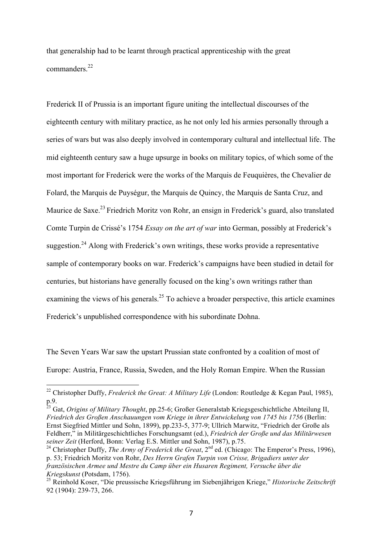that generalship had to be learnt through practical apprenticeship with the great commanders<sup>22</sup>

Frederick II of Prussia is an important figure uniting the intellectual discourses of the eighteenth century with military practice, as he not only led his armies personally through a series of wars but was also deeply involved in contemporary cultural and intellectual life. The mid eighteenth century saw a huge upsurge in books on military topics, of which some of the most important for Frederick were the works of the Marquis de Feuquières, the Chevalier de Folard, the Marquis de Puységur, the Marquis de Quincy, the Marquis de Santa Cruz, and Maurice de Saxe.<sup>23</sup> Friedrich Moritz von Rohr, an ensign in Frederick's guard, also translated Comte Turpin de Crissé's 1754 *Essay on the art of war* into German, possibly at Frederick's suggestion.<sup>24</sup> Along with Frederick's own writings, these works provide a representative sample of contemporary books on war. Frederick's campaigns have been studied in detail for centuries, but historians have generally focused on the king's own writings rather than examining the views of his generals.<sup>25</sup> To achieve a broader perspective, this article examines Frederick's unpublished correspondence with his subordinate Dohna.

The Seven Years War saw the upstart Prussian state confronted by a coalition of most of Europe: Austria, France, Russia, Sweden, and the Holy Roman Empire. When the Russian

<sup>23</sup> Gat, *Origins of Military Thought*, pp.25-6; Großer Generalstab Kriegsgeschichtliche Abteilung II, *Friedrich des Großen Anschauungen vom Kriege in ihrer Entwickelung von 1745 bis 1756* (Berlin: Ernst Siegfried Mittler und Sohn, 1899), pp.233-5, 377-9; Ullrich Marwitz, "Friedrich der Große als Feldherr," in Militärgeschichtliches Forschungsamt (ed.), *Friedrich der Große und das Militärwesen seiner Zeit* (Herford, Bonn: Verlag E.S. Mittler und Sohn, 1987), p.75.

<sup>&</sup>lt;sup>22</sup> Christopher Duffy, *Frederick the Great: A Military Life* (London: Routledge & Kegan Paul, 1985), p.9.

<sup>&</sup>lt;sup>24</sup> Christopher Duffy, *The Army of Frederick the Great*, 2<sup>nd</sup> ed. (Chicago: The Emperor's Press, 1996), p. 53; Friedrich Moritz von Rohr, *Des Herrn Grafen Turpin von Crisse, Brigadiers unter der französischen Armee und Mestre du Camp über ein Husaren Regiment, Versuche über die Kriegskunst* (Potsdam, 1756).

<sup>25</sup> Reinhold Koser, "Die preussische Kriegsführung im Siebenjährigen Kriege," *Historische Zeitschrift* 92 (1904): 239-73, 266.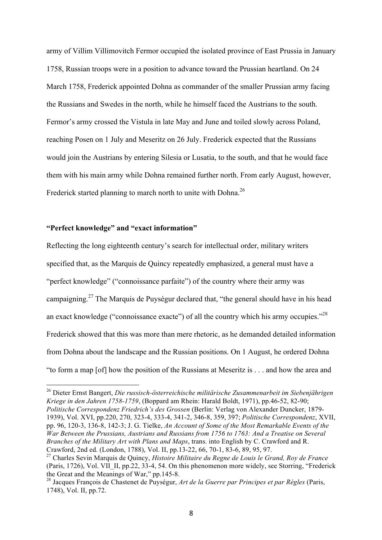army of Villim Villimovitch Fermor occupied the isolated province of East Prussia in January 1758, Russian troops were in a position to advance toward the Prussian heartland. On 24 March 1758, Frederick appointed Dohna as commander of the smaller Prussian army facing the Russians and Swedes in the north, while he himself faced the Austrians to the south. Fermor's army crossed the Vistula in late May and June and toiled slowly across Poland, reaching Posen on 1 July and Meseritz on 26 July. Frederick expected that the Russians would join the Austrians by entering Silesia or Lusatia, to the south, and that he would face them with his main army while Dohna remained further north. From early August, however, Frederick started planning to march north to unite with Dohna.<sup>26</sup>

## **"Perfect knowledge" and "exact information"**

Reflecting the long eighteenth century's search for intellectual order, military writers specified that, as the Marquis de Quincy repeatedly emphasized, a general must have a "perfect knowledge" ("connoissance parfaite") of the country where their army was campaigning.<sup>27</sup> The Marquis de Puységur declared that, "the general should have in his head an exact knowledge ("connoissance exacte") of all the country which his army occupies."<sup>28</sup> Frederick showed that this was more than mere rhetoric, as he demanded detailed information from Dohna about the landscape and the Russian positions. On 1 August, he ordered Dohna "to form a map [of] how the position of the Russians at Meseritz is . . . and how the area and

 <sup>26</sup> Dieter Ernst Bangert, *Die russisch-österreichische militärische Zusammenarbeit im Siebenjährigen Kriege in den Jahren 1758-1759*, (Boppard am Rhein: Harald Boldt, 1971), pp.46-52, 82-90; *Politische Correspondenz Friedrich's des Grossen* (Berlin: Verlag von Alexander Duncker, 1879- 1939), Vol. XVI, pp.220, 270, 323-4, 333-4, 341-2, 346-8, 359, 397; *Politische Correspondenz*, XVII, pp. 96, 120-3, 136-8, 142-3; J. G. Tielke, *An Account of Some of the Most Remarkable Events of the War Between the Prussians, Austrians and Russians from 1756 to 1763: And a Treatise on Several Branches of the Military Art with Plans and Maps*, trans. into English by C. Crawford and R. Crawford, 2nd ed. (London, 1788), Vol. II, pp.13-22, 66, 70-1, 83-6, 89, 95, 97.

<sup>27</sup> Charles Sevin Marquis de Quincy, *Histoire Militaire du Regne de Louis le Grand, Roy de France* (Paris, 1726), Vol. VII\_II, pp.22, 33-4, 54. On this phenomenon more widely, see Storring, "Frederick the Great and the Meanings of War," pp.145-8.

<sup>28</sup> Jacques François de Chastenet de Puységur, *Art de la Guerre par Principes et par Règles* (Paris, 1748), Vol. II, pp.72.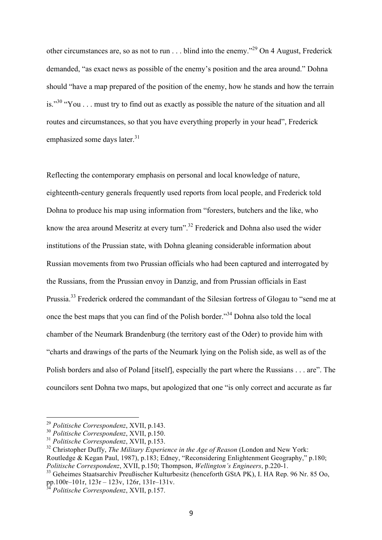other circumstances are, so as not to run  $\dots$  blind into the enemy."<sup>29</sup> On 4 August, Frederick demanded, "as exact news as possible of the enemy's position and the area around." Dohna should "have a map prepared of the position of the enemy, how he stands and how the terrain is."<sup>30</sup> "You . . . must try to find out as exactly as possible the nature of the situation and all routes and circumstances, so that you have everything properly in your head", Frederick emphasized some days later.<sup>31</sup>

Reflecting the contemporary emphasis on personal and local knowledge of nature, eighteenth-century generals frequently used reports from local people, and Frederick told Dohna to produce his map using information from "foresters, butchers and the like, who know the area around Meseritz at every turn".<sup>32</sup> Frederick and Dohna also used the wider institutions of the Prussian state, with Dohna gleaning considerable information about Russian movements from two Prussian officials who had been captured and interrogated by the Russians, from the Prussian envoy in Danzig, and from Prussian officials in East Prussia.<sup>33</sup> Frederick ordered the commandant of the Silesian fortress of Glogau to "send me at once the best maps that you can find of the Polish border."<sup>34</sup> Dohna also told the local chamber of the Neumark Brandenburg (the territory east of the Oder) to provide him with "charts and drawings of the parts of the Neumark lying on the Polish side, as well as of the Polish borders and also of Poland [itself], especially the part where the Russians . . . are". The councilors sent Dohna two maps, but apologized that one "is only correct and accurate as far

 <sup>29</sup> *Politische Correspondenz*, XVII, p.143.

<sup>30</sup> *Politische Correspondenz*, XVII, p.150.

<sup>31</sup> *Politische Correspondenz*, XVII, p.153.

<sup>32</sup> Christopher Duffy, *The Military Experience in the Age of Reason* (London and New York: Routledge & Kegan Paul, 1987), p.183; Edney, "Reconsidering Enlightenment Geography," p.180; *Politische Correspondenz*, XVII, p.150; Thompson, *Wellington's Engineers*, p.220-1.

<sup>33</sup> Geheimes Staatsarchiv Preußischer Kulturbesitz (henceforth GStA PK), I. HA Rep. 96 Nr. 85 Oo, pp.100r–101r, 123r – 123v, 126r, 131r–131v.

<sup>34</sup> *Politische Correspondenz*, XVII, p.157.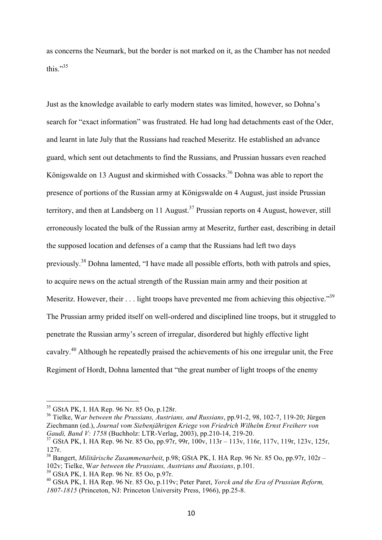as concerns the Neumark, but the border is not marked on it, as the Chamber has not needed this."<sup>35</sup>

Just as the knowledge available to early modern states was limited, however, so Dohna's search for "exact information" was frustrated. He had long had detachments east of the Oder, and learnt in late July that the Russians had reached Meseritz. He established an advance guard, which sent out detachments to find the Russians, and Prussian hussars even reached Königswalde on 13 August and skirmished with Cossacks.<sup>36</sup> Dohna was able to report the presence of portions of the Russian army at Königswalde on 4 August, just inside Prussian territory, and then at Landsberg on 11 August.<sup>37</sup> Prussian reports on 4 August, however, still erroneously located the bulk of the Russian army at Meseritz, further east, describing in detail the supposed location and defenses of a camp that the Russians had left two days previously.<sup>38</sup> Dohna lamented, "I have made all possible efforts, both with patrols and spies, to acquire news on the actual strength of the Russian main army and their position at Meseritz. However, their . . . light troops have prevented me from achieving this objective."<sup>39</sup> The Prussian army prided itself on well-ordered and disciplined line troops, but it struggled to penetrate the Russian army's screen of irregular, disordered but highly effective light cavalry.<sup>40</sup> Although he repeatedly praised the achievements of his one irregular unit, the Free Regiment of Hordt, Dohna lamented that "the great number of light troops of the enemy

 <sup>35</sup> GStA PK, I. HA Rep. 96 Nr. 85 Oo, p.128r.

<sup>36</sup> Tielke, W*ar between the Prussians, Austrians, and Russians*, pp.91-2, 98, 102-7, 119-20; Jürgen Ziechmann (ed.), *Journal vom Siebenjährigen Kriege von Friedrich Wilhelm Ernst Freiherr von Gaudi, Band V: 1758* (Buchholz: LTR-Verlag, 2003), pp.210-14, 219-20.

<sup>37</sup> GStA PK, I. HA Rep. 96 Nr. 85 Oo, pp.97r, 99r, 100v, 113r – 113v, 116r, 117v, 119r, 123v, 125r, 127r.

<sup>38</sup> Bangert, *Militärische Zusammenarbeit*, p.98; GStA PK, I. HA Rep. 96 Nr. 85 Oo, pp.97r, 102r – 102v; Tielke, W*ar between the Prussians, Austrians and Russians*, p.101.

<sup>39</sup> GStA PK, I. HA Rep. 96 Nr. 85 Oo, p.97r.

<sup>40</sup> GStA PK, I. HA Rep. 96 Nr. 85 Oo, p.119v; Peter Paret, *Yorck and the Era of Prussian Reform, 1807-1815* (Princeton, NJ: Princeton University Press, 1966), pp.25-8.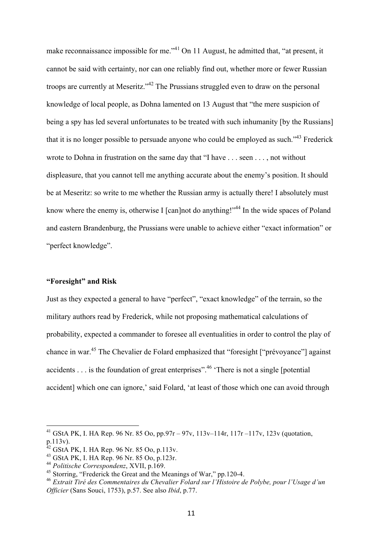make reconnaissance impossible for me."<sup>41</sup> On 11 August, he admitted that, "at present, it cannot be said with certainty, nor can one reliably find out, whether more or fewer Russian troops are currently at Meseritz."<sup>42</sup> The Prussians struggled even to draw on the personal knowledge of local people, as Dohna lamented on 13 August that "the mere suspicion of being a spy has led several unfortunates to be treated with such inhumanity [by the Russians] that it is no longer possible to persuade anyone who could be employed as such."<sup>43</sup> Frederick wrote to Dohna in frustration on the same day that "I have . . . seen . . . , not without displeasure, that you cannot tell me anything accurate about the enemy's position. It should be at Meseritz: so write to me whether the Russian army is actually there! I absolutely must know where the enemy is, otherwise I [can]not do anything!"<sup>44</sup> In the wide spaces of Poland and eastern Brandenburg, the Prussians were unable to achieve either "exact information" or "perfect knowledge".

#### **"Foresight" and Risk**

Just as they expected a general to have "perfect", "exact knowledge" of the terrain, so the military authors read by Frederick, while not proposing mathematical calculations of probability, expected a commander to foresee all eventualities in order to control the play of chance in war.45 The Chevalier de Folard emphasized that "foresight ["prévoyance"] against accidents  $\dots$  is the foundation of great enterprises".<sup>46</sup> 'There is not a single [potential] accident] which one can ignore,' said Folard, 'at least of those which one can avoid through

<sup>&</sup>lt;sup>41</sup> GStA PK, I. HA Rep. 96 Nr. 85 Oo, pp.97r – 97v, 113v–114r, 117r –117v, 123v (quotation, p.113v).

 $^{42}$  GStA PK, I. HA Rep. 96 Nr. 85 Oo, p.113v.

<sup>43</sup> GStA PK, I. HA Rep. 96 Nr. 85 Oo, p.123r.

<sup>44</sup> *Politische Correspondenz*, XVII, p.169.

<sup>&</sup>lt;sup>45</sup> Storring, "Frederick the Great and the Meanings of War," pp.120-4.

<sup>46</sup> *Extrait Tiré des Commentaires du Chevalier Folard sur l'Histoire de Polybe, pour l'Usage d'un Officier* (Sans Souci, 1753), p.57. See also *Ibid*, p.77.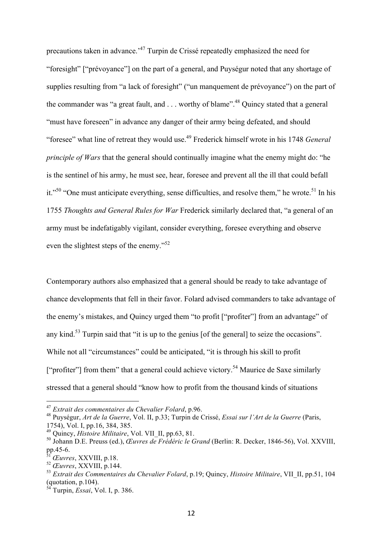precautions taken in advance.'47 Turpin de Crissé repeatedly emphasized the need for "foresight" ["prévoyance"] on the part of a general, and Puységur noted that any shortage of supplies resulting from "a lack of foresight" ("un manquement de prévoyance") on the part of the commander was "a great fault, and  $\ldots$  worthy of blame".<sup>48</sup> Ouincy stated that a general "must have foreseen" in advance any danger of their army being defeated, and should "foresee" what line of retreat they would use.49 Frederick himself wrote in his 1748 *General principle of Wars* that the general should continually imagine what the enemy might do: "he is the sentinel of his army, he must see, hear, foresee and prevent all the ill that could befall it."<sup>50</sup> "One must anticipate everything, sense difficulties, and resolve them," he wrote.<sup>51</sup> In his 1755 *Thoughts and General Rules for War* Frederick similarly declared that, "a general of an army must be indefatigably vigilant, consider everything, foresee everything and observe even the slightest steps of the enemy."<sup>52</sup>

Contemporary authors also emphasized that a general should be ready to take advantage of chance developments that fell in their favor. Folard advised commanders to take advantage of the enemy's mistakes, and Quincy urged them "to profit ["profiter"] from an advantage" of any kind.<sup>53</sup> Turpin said that "it is up to the genius [of the general] to seize the occasions". While not all "circumstances" could be anticipated, "it is through his skill to profit ["profiter"] from them" that a general could achieve victory.<sup>54</sup> Maurice de Saxe similarly stressed that a general should "know how to profit from the thousand kinds of situations

 <sup>47</sup> *Extrait des commentaires du Chevalier Folard*, p.96.

<sup>48</sup> Puységur, *Art de la Guerre*, Vol. II, p.33; Turpin de Crissé, *Essai sur l'Art de la Guerre* (Paris, 1754), Vol. I, pp.16, 384, 385.

<sup>49</sup> Quincy, *Histoire Militaire*, Vol. VII\_II, pp.63, 81.

<sup>50</sup> Johann D.E. Preuss (ed.), *Œuvres de Frédéric le Grand* (Berlin: R. Decker, 1846-56), Vol. XXVIII, pp.45-6.

<sup>51</sup> *Œuvres*, XXVIII, p.18.

<sup>52</sup> *Œuvres*, XXVIII, p.144.

<sup>53</sup> *Extrait des Commentaires du Chevalier Folard*, p.19; Quincy, *Histoire Militaire*, VII\_II, pp.51, 104 (quotation, p.104).

<sup>54</sup> Turpin, *Essai*, Vol. I, p. 386.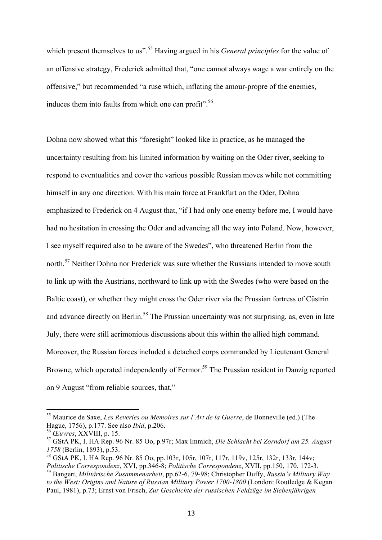which present themselves to us".<sup>55</sup> Having argued in his *General principles* for the value of an offensive strategy, Frederick admitted that, "one cannot always wage a war entirely on the offensive," but recommended "a ruse which, inflating the amour-propre of the enemies, induces them into faults from which one can profit".<sup>56</sup>

Dohna now showed what this "foresight" looked like in practice, as he managed the uncertainty resulting from his limited information by waiting on the Oder river, seeking to respond to eventualities and cover the various possible Russian moves while not committing himself in any one direction. With his main force at Frankfurt on the Oder, Dohna emphasized to Frederick on 4 August that, "if I had only one enemy before me, I would have had no hesitation in crossing the Oder and advancing all the way into Poland. Now, however, I see myself required also to be aware of the Swedes", who threatened Berlin from the north.<sup>57</sup> Neither Dohna nor Frederick was sure whether the Russians intended to move south to link up with the Austrians, northward to link up with the Swedes (who were based on the Baltic coast), or whether they might cross the Oder river via the Prussian fortress of Cüstrin and advance directly on Berlin.<sup>58</sup> The Prussian uncertainty was not surprising, as, even in late July, there were still acrimonious discussions about this within the allied high command. Moreover, the Russian forces included a detached corps commanded by Lieutenant General Browne, which operated independently of Fermor.<sup>59</sup> The Prussian resident in Danzig reported on 9 August "from reliable sources, that,"

 <sup>55</sup> Maurice de Saxe, *Les Reveries ou Memoires sur l'Art de la Guerre*, de Bonneville (ed.) (The Hague, 1756), p.177. See also *Ibid*, p.206.

<sup>56</sup> *Œuvres*, XXVIII, p. 15.

<sup>57</sup> GStA PK, I. HA Rep. 96 Nr. 85 Oo, p.97r; Max Immich, *Die Schlacht bei Zorndorf am 25. August* 

*<sup>1758</sup>* (Berlin, 1893), p.53.<br><sup>58</sup> GStA PK, I. HA Rep. 96 Nr. 85 Oo, pp.103r, 105r, 107r, 117r, 119v, 125r, 132r, 133r, 144v; *Politische Correspondenz*, XVI, pp.346-8; *Politische Correspondenz*, XVII, pp.150, 170, 172-3.

<sup>59</sup> Bangert, *Militärische Zusammenarbeit*, pp.62-6, 79-98; Christopher Duffy, *Russia's Military Way to the West: Origins and Nature of Russian Military Power 1700-1800* (London: Routledge & Kegan Paul, 1981), p.73; Ernst von Frisch, *Zur Geschichte der russischen Feldzüge im Siebenjährigen*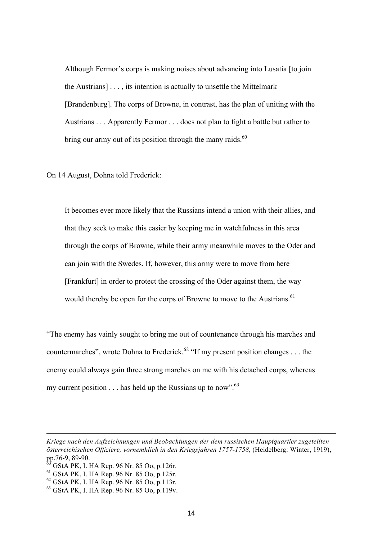Although Fermor's corps is making noises about advancing into Lusatia [to join the Austrians] . . . , its intention is actually to unsettle the Mittelmark [Brandenburg]. The corps of Browne, in contrast, has the plan of uniting with the Austrians . . . Apparently Fermor . . . does not plan to fight a battle but rather to bring our army out of its position through the many raids.<sup>60</sup>

On 14 August, Dohna told Frederick:

It becomes ever more likely that the Russians intend a union with their allies, and that they seek to make this easier by keeping me in watchfulness in this area through the corps of Browne, while their army meanwhile moves to the Oder and can join with the Swedes. If, however, this army were to move from here [Frankfurt] in order to protect the crossing of the Oder against them, the way would thereby be open for the corps of Browne to move to the Austrians.<sup>61</sup>

"The enemy has vainly sought to bring me out of countenance through his marches and countermarches", wrote Dohna to Frederick.<sup>62</sup> "If my present position changes . . . the enemy could always gain three strong marches on me with his detached corps, whereas my current position  $\ldots$  has held up the Russians up to now".<sup>63</sup>

<u> 1989 - Jan Sarajević, politički predsjednik i politički politički politički politički politički politički po</u>

*Kriege nach den Aufzeichnungen und Beobachtungen der dem russischen Hauptquartier zugeteilten österreichischen Offiziere, vornemhlich in den Kriegsjahren 1757-1758*, (Heidelberg: Winter, 1919), pp.76-9, 89-90.

<sup>60</sup> GStA PK, I. HA Rep. 96 Nr. 85 Oo, p.126r.

<sup>61</sup> GStA PK, I. HA Rep. 96 Nr. 85 Oo, p.125r.

<sup>62</sup> GStA PK, I. HA Rep. 96 Nr. 85 Oo, p.113r.

<sup>63</sup> GStA PK, I. HA Rep. 96 Nr. 85 Oo, p.119v.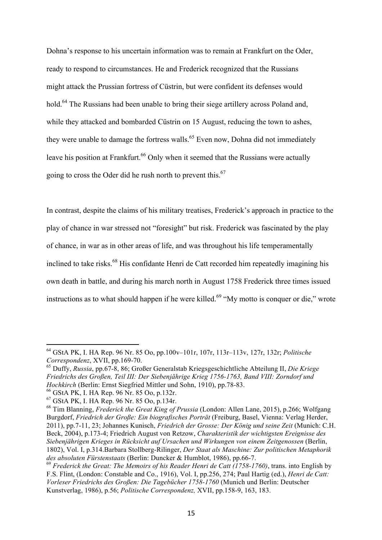Dohna's response to his uncertain information was to remain at Frankfurt on the Oder, ready to respond to circumstances. He and Frederick recognized that the Russians might attack the Prussian fortress of Cüstrin, but were confident its defenses would hold.<sup>64</sup> The Russians had been unable to bring their siege artillery across Poland and, while they attacked and bombarded Cüstrin on 15 August, reducing the town to ashes, they were unable to damage the fortress walls.<sup>65</sup> Even now, Dohna did not immediately leave his position at Frankfurt.<sup>66</sup> Only when it seemed that the Russians were actually going to cross the Oder did he rush north to prevent this.<sup>67</sup>

In contrast, despite the claims of his military treatises, Frederick's approach in practice to the play of chance in war stressed not "foresight" but risk. Frederick was fascinated by the play of chance, in war as in other areas of life, and was throughout his life temperamentally inclined to take risks.<sup>68</sup> His confidante Henri de Catt recorded him repeatedly imagining his own death in battle, and during his march north in August 1758 Frederick three times issued instructions as to what should happen if he were killed.<sup>69</sup> "My motto is conquer or die," wrote

 <sup>64</sup> GStA PK, I. HA Rep. 96 Nr. 85 Oo, pp.100v–101r, 107r, 113r–113v, 127r, 132r; *Politische Correspondenz*, XVII, pp.169-70.

<sup>65</sup> Duffy, *Russia*, pp.67-8, 86; Großer Generalstab Kriegsgeschichtliche Abteilung II, *Die Kriege Friedrichs des Großen, Teil III: Der Siebenjährige Krieg 1756-1763, Band VIII: Zorndorf und Hochkirch* (Berlin: Ernst Siegfried Mittler und Sohn, 1910), pp.78-83.

<sup>66</sup> GStA PK, I. HA Rep. 96 Nr. 85 Oo, p.132r.

<sup>67</sup> GStA PK, I. HA Rep. 96 Nr. 85 Oo, p.134r.

<sup>68</sup> Tim Blanning, *Frederick the Great King of Prussia* (London: Allen Lane, 2015), p.266; Wolfgang Burgdorf, *Friedrich der Große: Ein biografisches Porträt* (Freiburg, Basel, Vienna: Verlag Herder, 2011), pp.7-11, 23; Johannes Kunisch, *Friedrich der Grosse: Der König und seine Zeit* (Munich: C.H. Beck, 2004), p.173-4; Friedrich August von Retzow, *Charakteristik der wichtigsten Ereignisse des Siebenjährigen Krieges in Rücksicht auf Ursachen und Wirkungen von einem Zeitgenossen* (Berlin, 1802), Vol. I, p.314.Barbara Stollberg-Rilinger, *Der Staat als Maschine: Zur politischen Metaphorik des absoluten Fürstenstaats* (Berlin: Duncker & Humblot, 1986), pp.66-7.

<sup>69</sup> *Frederick the Great: The Memoirs of his Reader Henri de Catt (1758-1760)*, trans. into English by F.S. Flint, (London: Constable and Co., 1916), Vol. I, pp.256, 274; Paul Hartig (ed.), *Henri de Catt: Vorleser Friedrichs des Großen: Die Tagebücher 1758-1760* (Munich und Berlin: Deutscher Kunstverlag, 1986), p.56; *Politische Correspondenz,* XVII, pp.158-9, 163, 183.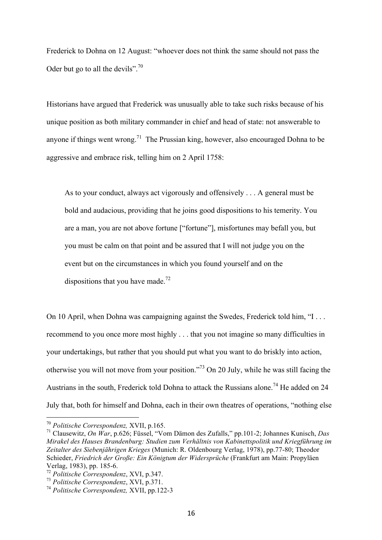Frederick to Dohna on 12 August: "whoever does not think the same should not pass the Oder but go to all the devils".<sup>70</sup>

Historians have argued that Frederick was unusually able to take such risks because of his unique position as both military commander in chief and head of state: not answerable to anyone if things went wrong.<sup>71</sup> The Prussian king, however, also encouraged Dohna to be aggressive and embrace risk, telling him on 2 April 1758:

As to your conduct, always act vigorously and offensively . . . A general must be bold and audacious, providing that he joins good dispositions to his temerity. You are a man, you are not above fortune ["fortune"], misfortunes may befall you, but you must be calm on that point and be assured that I will not judge you on the event but on the circumstances in which you found yourself and on the dispositions that you have made.<sup>72</sup>

On 10 April, when Dohna was campaigning against the Swedes, Frederick told him, "I . . . recommend to you once more most highly . . . that you not imagine so many difficulties in your undertakings, but rather that you should put what you want to do briskly into action, otherwise you will not move from your position."73 On 20 July, while he was still facing the Austrians in the south, Frederick told Dohna to attack the Russians alone.<sup>74</sup> He added on 24 July that, both for himself and Dohna, each in their own theatres of operations, "nothing else

 <sup>70</sup> *Politische Correspondenz,* XVII, p.165.

<sup>71</sup> Clausewitz, *On War*, p.626; Füssel, "Vom Dämon des Zufalls," pp.101-2; Johannes Kunisch, *Das Mirakel des Hauses Brandenburg: Studien zum Verhältnis von Kabinettspolitik und Kriegführung im Zeitalter des Siebenjährigen Krieges* (Munich: R. Oldenbourg Verlag, 1978), pp.77-80; Theodor Schieder, *Friedrich der Große: Ein Königtum der Widersprüche* (Frankfurt am Main: Propyläen Verlag, 1983), pp. 185-6.

<sup>72</sup> *Politische Correspondenz*, XVI, p.347.

<sup>73</sup> *Politische Correspondenz*, XVI, p.371.

<sup>74</sup> *Politische Correspondenz,* XVII, pp.122-3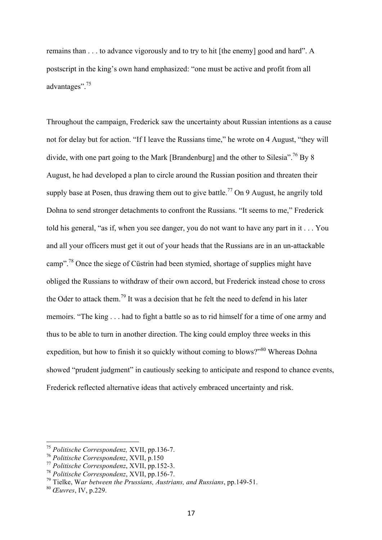remains than . . . to advance vigorously and to try to hit [the enemy] good and hard". A postscript in the king's own hand emphasized: "one must be active and profit from all advantages".<sup>75</sup>

Throughout the campaign, Frederick saw the uncertainty about Russian intentions as a cause not for delay but for action. "If I leave the Russians time," he wrote on 4 August, "they will divide, with one part going to the Mark [Brandenburg] and the other to Silesia".<sup>76</sup> By 8 August, he had developed a plan to circle around the Russian position and threaten their supply base at Posen, thus drawing them out to give battle.<sup>77</sup> On 9 August, he angrily told Dohna to send stronger detachments to confront the Russians. "It seems to me," Frederick told his general, "as if, when you see danger, you do not want to have any part in it . . . You and all your officers must get it out of your heads that the Russians are in an un-attackable camp".<sup>78</sup> Once the siege of Cüstrin had been stymied, shortage of supplies might have obliged the Russians to withdraw of their own accord, but Frederick instead chose to cross the Oder to attack them.<sup>79</sup> It was a decision that he felt the need to defend in his later memoirs. "The king . . . had to fight a battle so as to rid himself for a time of one army and thus to be able to turn in another direction. The king could employ three weeks in this expedition, but how to finish it so quickly without coming to blows?"<sup>80</sup> Whereas Dohna showed "prudent judgment" in cautiously seeking to anticipate and respond to chance events, Frederick reflected alternative ideas that actively embraced uncertainty and risk.

 <sup>75</sup> *Politische Correspondenz,* XVII, pp.136-7.

<sup>76</sup> *Politische Correspondenz*, XVII, p.150

<sup>77</sup> *Politische Correspondenz*, XVII, pp.152-3.

<sup>78</sup> *Politische Correspondenz*, XVII, pp.156-7.

<sup>79</sup> Tielke, W*ar between the Prussians, Austrians, and Russians*, pp.149-51.

<sup>80</sup> *Œuvres*, IV, p.229.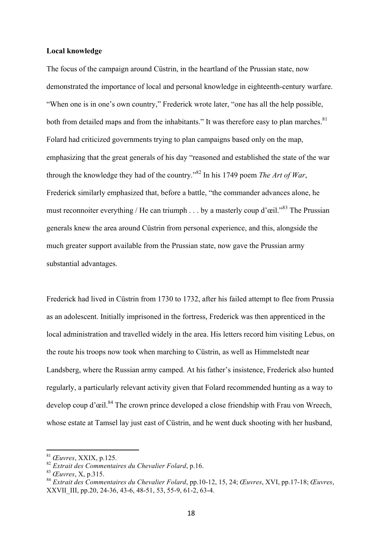#### **Local knowledge**

The focus of the campaign around Cüstrin, in the heartland of the Prussian state, now demonstrated the importance of local and personal knowledge in eighteenth-century warfare. "When one is in one's own country," Frederick wrote later, "one has all the help possible, both from detailed maps and from the inhabitants." It was therefore easy to plan marches. $81$ Folard had criticized governments trying to plan campaigns based only on the map, emphasizing that the great generals of his day "reasoned and established the state of the war through the knowledge they had of the country."<sup>82</sup> In his 1749 poem *The Art of War*, Frederick similarly emphasized that, before a battle, "the commander advances alone, he must reconnoiter everything / He can triumph . . . by a masterly coup d'œil."<sup>83</sup> The Prussian generals knew the area around Cüstrin from personal experience, and this, alongside the much greater support available from the Prussian state, now gave the Prussian army substantial advantages.

Frederick had lived in Cüstrin from 1730 to 1732, after his failed attempt to flee from Prussia as an adolescent. Initially imprisoned in the fortress, Frederick was then apprenticed in the local administration and travelled widely in the area. His letters record him visiting Lebus, on the route his troops now took when marching to Cüstrin, as well as Himmelstedt near Landsberg, where the Russian army camped. At his father's insistence, Frederick also hunted regularly, a particularly relevant activity given that Folard recommended hunting as a way to develop coup d'œil.<sup>84</sup> The crown prince developed a close friendship with Frau von Wreech, whose estate at Tamsel lay just east of Cüstrin, and he went duck shooting with her husband,

 <sup>81</sup> *Œuvres*, XXIX, p.125.

<sup>82</sup> *Extrait des Commentaires du Chevalier Folard*, p.16.

<sup>83</sup> *Œuvres*, X, p.315.

<sup>84</sup> *Extrait des Commentaires du Chevalier Folard*, pp.10-12, 15, 24; *Œuvres*, XVI, pp.17-18; *Œuvres*, XXVII\_III, pp.20, 24-36, 43-6, 48-51, 53, 55-9, 61-2, 63-4.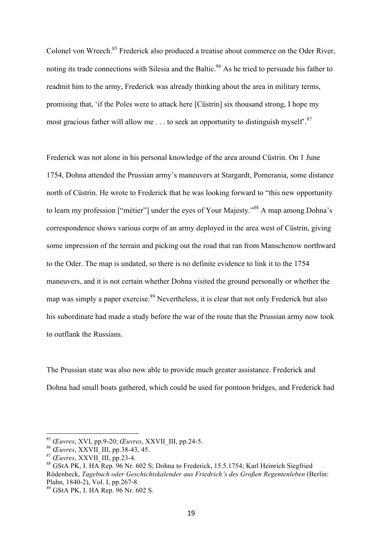Colonel von Wreech.<sup>85</sup> Frederick also produced a treatise about commerce on the Oder River, noting its trade connections with Silesia and the Baltic.<sup>86</sup> As he tried to persuade his father to readmit him to the army, Frederick was already thinking about the area in military terms, promising that, 'if the Poles were to attack here [Cüstrin] six thousand strong, I hope my most gracious father will allow me  $\ldots$  to seek an opportunity to distinguish myself<sup>°.87</sup>

Frederick was not alone in his personal knowledge of the area around Cüstrin. On 1 June 1754, Dohna attended the Prussian army's maneuvers at Stargardt, Pomerania, some distance north of Cüstrin. He wrote to Frederick that he was looking forward to "this new opportunity to learn my profession ["mètier"] under the eyes of Your Majesty."<sup>88</sup> A map among Dohna's correspondence shows various corps of an army deployed in the area west of Cüstrin, giving some impression of the terrain and picking out the road that ran from Manschenow northward to the Oder. The map is undated, so there is no definite evidence to link it to the 1754 maneuvers, and it is not certain whether Dohna visited the ground personally or whether the map was simply a paper exercise.<sup>89</sup> Nevertheless, it is clear that not only Frederick but also his subordinate had made a study before the war of the route that the Prussian army now took to outflank the Russians.

The Prussian state was also now able to provide much greater assistance. Frederick and Dohna had small boats gathered, which could be used for pontoon bridges, and Frederick had

 <sup>85</sup> *Œuvres*, XVI, pp.9-20; *Œuvres*, XXVII\_III, pp.24-5.

<sup>86</sup> *Œuvres*, XXVII\_III, pp.38-43, 45.

<sup>87</sup> *Œuvres*, XXVII\_III, pp.23-4.

<sup>88</sup> GStA PK, I. HA Rep. 96 Nr. 602 S; Dohna to Frederick, 15.5.1754; Karl Heinrich Siegfried Rödenbeck, *Tagebuch oder Geschichtskalender aus Friedrich's des Großen Regentenleben* (Berlin: Plahn, 1840-2), Vol. I, pp.267-8.

<sup>89</sup> GStA PK, I. HA Rep. 96 Nr. 602 S.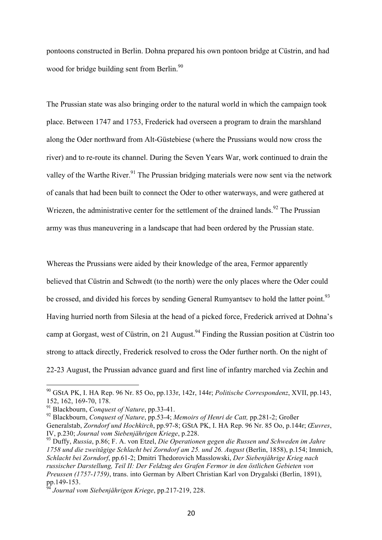pontoons constructed in Berlin. Dohna prepared his own pontoon bridge at Cüstrin, and had wood for bridge building sent from Berlin.<sup>90</sup>

The Prussian state was also bringing order to the natural world in which the campaign took place. Between 1747 and 1753, Frederick had overseen a program to drain the marshland along the Oder northward from Alt-Güstebiese (where the Prussians would now cross the river) and to re-route its channel. During the Seven Years War, work continued to drain the valley of the Warthe River.<sup>91</sup> The Prussian bridging materials were now sent via the network of canals that had been built to connect the Oder to other waterways, and were gathered at Wriezen, the administrative center for the settlement of the drained lands.<sup>92</sup> The Prussian army was thus maneuvering in a landscape that had been ordered by the Prussian state.

Whereas the Prussians were aided by their knowledge of the area, Fermor apparently believed that Cüstrin and Schwedt (to the north) were the only places where the Oder could be crossed, and divided his forces by sending General Rumyantsev to hold the latter point.<sup>93</sup> Having hurried north from Silesia at the head of a picked force, Frederick arrived at Dohna's camp at Gorgast, west of Cüstrin, on 21 August.<sup>94</sup> Finding the Russian position at Cüstrin too strong to attack directly, Frederick resolved to cross the Oder further north. On the night of 22-23 August, the Prussian advance guard and first line of infantry marched via Zechin and

 <sup>90</sup> GStA PK, I. HA Rep. 96 Nr. 85 Oo, pp.133r, 142r, 144r; *Politische Correspondenz*, XVII, pp.143, 152, 162, 169-70, 178.<br><sup>91</sup> Blackbourn, *Conquest of Nature*, pp.33-41.

<sup>&</sup>lt;sup>92</sup> Blackbourn, *Conquest of Nature*, pp.53-4; *Memoirs of Henri de Catt*, pp.281-2; Großer Generalstab, *Zorndorf und Hochkirch*, pp.97-8; GStA PK, I. HA Rep. 96 Nr. 85 Oo, p.144r; *Œuvres*,

<sup>&</sup>lt;sup>93</sup> Duffy, *Russia*, p.86; F. A. von Etzel, *Die Operationen gegen die Russen und Schweden im Jahre 1758 und die zweitägige Schlacht bei Zorndorf am 25. und 26. August* (Berlin, 1858), p.154; Immich, *Schlacht bei Zorndorf*, pp.61-2; Dmitri Thedorovich Masslowski, *Der Siebenjährige Krieg nach russischer Darstellung, Teil II: Der Feldzug des Grafen Fermor in den östlichen Gebieten von Preussen (1757-1759)*, trans. into German by Albert Christian Karl von Drygalski (Berlin, 1891), pp.149-153.

<sup>94</sup> *Journal vom Siebenjährigen Kriege*, pp.217-219, 228.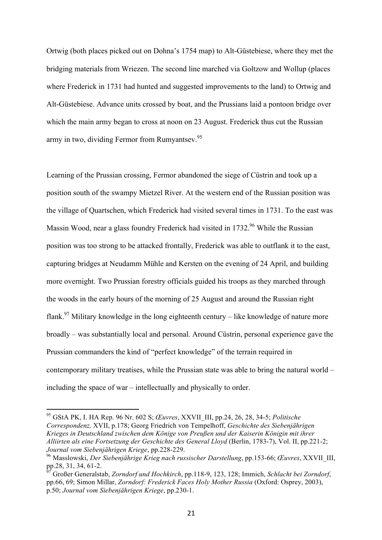Ortwig (both places picked out on Dohna's 1754 map) to Alt-Güstebiese, where they met the bridging materials from Wriezen. The second line marched via Goltzow and Wollup (places where Frederick in 1731 had hunted and suggested improvements to the land) to Ortwig and Alt-Güstebiese. Advance units crossed by boat, and the Prussians laid a pontoon bridge over which the main army began to cross at noon on 23 August. Frederick thus cut the Russian army in two, dividing Fermor from Rumyantsev.<sup>95</sup>

Learning of the Prussian crossing, Fermor abandoned the siege of Cüstrin and took up a position south of the swampy Mietzel River. At the western end of the Russian position was the village of Quartschen, which Frederick had visited several times in 1731. To the east was Massin Wood, near a glass foundry Frederick had visited in 1732.<sup>96</sup> While the Russian position was too strong to be attacked frontally, Frederick was able to outflank it to the east, capturing bridges at Neudamm Mühle and Kersten on the evening of 24 April, and building more overnight. Two Prussian forestry officials guided his troops as they marched through the woods in the early hours of the morning of 25 August and around the Russian right flank.<sup>97</sup> Military knowledge in the long eighteenth century – like knowledge of nature more broadly – was substantially local and personal. Around Cüstrin, personal experience gave the Prussian commanders the kind of "perfect knowledge" of the terrain required in contemporary military treatises, while the Prussian state was able to bring the natural world – including the space of war – intellectually and physically to order.

 <sup>95</sup> GStA PK, I. HA Rep. 96 Nr. 602 S; *Œuvres*, XXVII\_III, pp.24, 26, 28, 34-5; *Politische Correspondenz,* XVII, p.178; Georg Friedrich von Tempelhoff, *Geschichte des Siebenjährigen Krieges in Deutschland zwischen dem Könige von Preußen und der Kaiserin Königin mit ihrer Alliirten als eine Fortsetzung der Geschichte des General Lloyd* (Berlin, 1783-7), Vol. II, pp.221-2; *Journal vom Siebenjährigen Kriege*, pp.228-229.<br><sup>96</sup> Masslowski, *Der Siebenjährige Krieg nach russischer Darstellung*, pp.153-66; *Œuvres*, XXVII\_III,

pp.28, 31, 34, 61-2.

<sup>97</sup> Großer Generalstab, *Zorndorf und Hochkirch*, pp.118-9, 123, 128; Immich, *Schlacht bei Zorndorf*, pp.66, 69; Simon Millar, *Zorndorf: Frederick Faces Holy Mother Russia* (Oxford: Osprey, 2003), p.50; *Journal vom Siebenjährigen Kriege*, pp.230-1.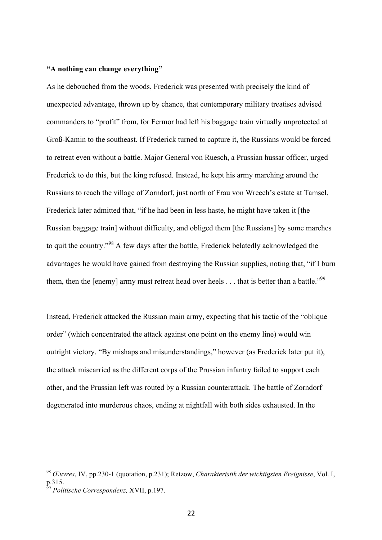### **"A nothing can change everything"**

As he debouched from the woods, Frederick was presented with precisely the kind of unexpected advantage, thrown up by chance, that contemporary military treatises advised commanders to "profit" from, for Fermor had left his baggage train virtually unprotected at Groß-Kamin to the southeast. If Frederick turned to capture it, the Russians would be forced to retreat even without a battle. Major General von Ruesch, a Prussian hussar officer, urged Frederick to do this, but the king refused. Instead, he kept his army marching around the Russians to reach the village of Zorndorf, just north of Frau von Wreech's estate at Tamsel. Frederick later admitted that, "if he had been in less haste, he might have taken it [the Russian baggage train] without difficulty, and obliged them [the Russians] by some marches to quit the country."<sup>98</sup> A few days after the battle, Frederick belatedly acknowledged the advantages he would have gained from destroying the Russian supplies, noting that, "if I burn them, then the [enemy] army must retreat head over heels . . . that is better than a battle."<sup>99</sup>

Instead, Frederick attacked the Russian main army, expecting that his tactic of the "oblique order" (which concentrated the attack against one point on the enemy line) would win outright victory. "By mishaps and misunderstandings," however (as Frederick later put it), the attack miscarried as the different corps of the Prussian infantry failed to support each other, and the Prussian left was routed by a Russian counterattack. The battle of Zorndorf degenerated into murderous chaos, ending at nightfall with both sides exhausted. In the

 <sup>98</sup> *Œuvres*, IV, pp.230-1 (quotation, p.231); Retzow, *Charakteristik der wichtigsten Ereignisse*, Vol. I, p.315.

<sup>99</sup> *Politische Correspondenz,* XVII, p.197.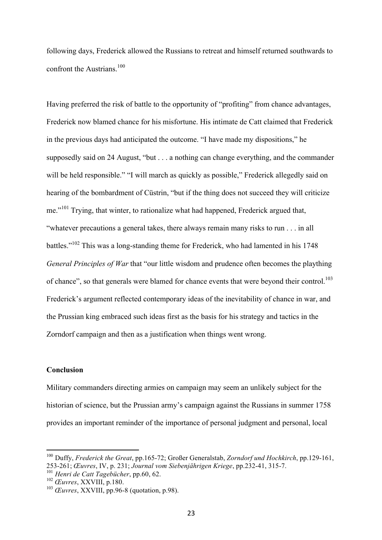following days, Frederick allowed the Russians to retreat and himself returned southwards to confront the Austrians. $100$ 

Having preferred the risk of battle to the opportunity of "profiting" from chance advantages, Frederick now blamed chance for his misfortune. His intimate de Catt claimed that Frederick in the previous days had anticipated the outcome. "I have made my dispositions," he supposedly said on 24 August, "but . . . a nothing can change everything, and the commander will be held responsible." "I will march as quickly as possible," Frederick allegedly said on hearing of the bombardment of Cüstrin, "but if the thing does not succeed they will criticize me."<sup>101</sup> Trying, that winter, to rationalize what had happened, Frederick argued that, "whatever precautions a general takes, there always remain many risks to run . . . in all battles."102 This was a long-standing theme for Frederick, who had lamented in his 1748 *General Principles of War* that "our little wisdom and prudence often becomes the plaything of chance", so that generals were blamed for chance events that were beyond their control.<sup>103</sup> Frederick's argument reflected contemporary ideas of the inevitability of chance in war, and the Prussian king embraced such ideas first as the basis for his strategy and tactics in the Zorndorf campaign and then as a justification when things went wrong.

# **Conclusion**

Military commanders directing armies on campaign may seem an unlikely subject for the historian of science, but the Prussian army's campaign against the Russians in summer 1758 provides an important reminder of the importance of personal judgment and personal, local

 <sup>100</sup> Duffy, *Frederick the Great*, pp.165-72; Großer Generalstab, *Zorndorf und Hochkirch*, pp.129-161, 253-261; *Œuvres*, IV, p. 231; *Journal vom Siebenjährigen Kriege*, pp.232-41, 315-7.

<sup>101</sup> *Henri de Catt Tagebücher*, pp.60, 62.

<sup>102</sup> *Œuvres*, XXVIII, p.180.

<sup>103</sup> *Œuvres*, XXVIII, pp.96-8 (quotation, p.98).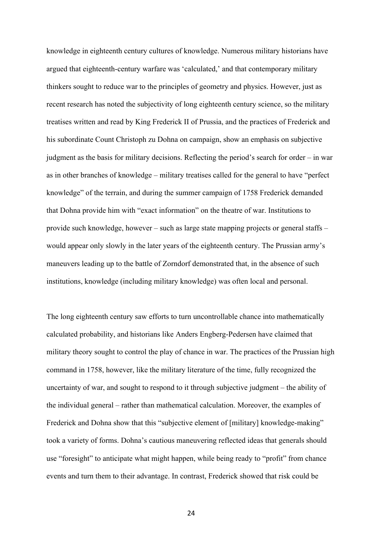knowledge in eighteenth century cultures of knowledge. Numerous military historians have argued that eighteenth-century warfare was 'calculated,' and that contemporary military thinkers sought to reduce war to the principles of geometry and physics. However, just as recent research has noted the subjectivity of long eighteenth century science, so the military treatises written and read by King Frederick II of Prussia, and the practices of Frederick and his subordinate Count Christoph zu Dohna on campaign, show an emphasis on subjective judgment as the basis for military decisions. Reflecting the period's search for order – in war as in other branches of knowledge – military treatises called for the general to have "perfect knowledge" of the terrain, and during the summer campaign of 1758 Frederick demanded that Dohna provide him with "exact information" on the theatre of war. Institutions to provide such knowledge, however – such as large state mapping projects or general staffs – would appear only slowly in the later years of the eighteenth century. The Prussian army's maneuvers leading up to the battle of Zorndorf demonstrated that, in the absence of such institutions, knowledge (including military knowledge) was often local and personal.

The long eighteenth century saw efforts to turn uncontrollable chance into mathematically calculated probability, and historians like Anders Engberg-Pedersen have claimed that military theory sought to control the play of chance in war. The practices of the Prussian high command in 1758, however, like the military literature of the time, fully recognized the uncertainty of war, and sought to respond to it through subjective judgment – the ability of the individual general – rather than mathematical calculation. Moreover, the examples of Frederick and Dohna show that this "subjective element of [military] knowledge-making" took a variety of forms. Dohna's cautious maneuvering reflected ideas that generals should use "foresight" to anticipate what might happen, while being ready to "profit" from chance events and turn them to their advantage. In contrast, Frederick showed that risk could be

24